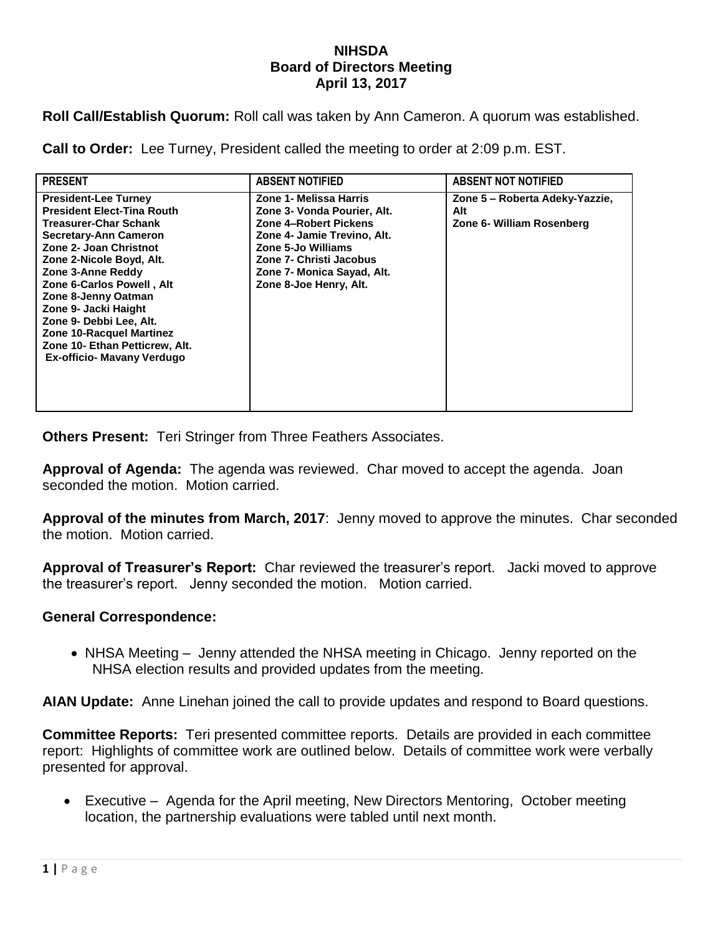## **NIHSDA Board of Directors Meeting April 13, 2017**

**Roll Call/Establish Quorum:** Roll call was taken by Ann Cameron. A quorum was established.

**Call to Order:** Lee Turney, President called the meeting to order at 2:09 p.m. EST.

| <b>PRESENT</b>                                                                                                                                                                                                                                                                                                                                                                                                 | <b>ABSENT NOTIFIED</b>                                                                                                                                                                                                 | <b>ABSENT NOT NOTIFIED</b>                                         |
|----------------------------------------------------------------------------------------------------------------------------------------------------------------------------------------------------------------------------------------------------------------------------------------------------------------------------------------------------------------------------------------------------------------|------------------------------------------------------------------------------------------------------------------------------------------------------------------------------------------------------------------------|--------------------------------------------------------------------|
| <b>President-Lee Turney</b><br><b>President Elect-Tina Routh</b><br><b>Treasurer-Char Schank</b><br>Secretary-Ann Cameron<br>Zone 2- Joan Christnot<br>Zone 2-Nicole Boyd, Alt.<br>Zone 3-Anne Reddy<br>Zone 6-Carlos Powell, Alt<br>Zone 8-Jenny Oatman<br>Zone 9- Jacki Haight<br>Zone 9- Debbi Lee, Alt.<br>Zone 10-Racquel Martinez<br>Zone 10- Ethan Petticrew, Alt.<br><b>Ex-officio- Mavany Verdugo</b> | Zone 1- Melissa Harris<br>Zone 3- Vonda Pourier, Alt.<br>Zone 4-Robert Pickens<br>Zone 4- Jamie Trevino, Alt.<br>Zone 5-Jo Williams<br>Zone 7- Christi Jacobus<br>Zone 7- Monica Sayad, Alt.<br>Zone 8-Joe Henry, Alt. | Zone 5 - Roberta Adeky-Yazzie,<br>Alt<br>Zone 6- William Rosenberg |

**Others Present:** Teri Stringer from Three Feathers Associates.

**Approval of Agenda:** The agenda was reviewed. Char moved to accept the agenda. Joan seconded the motion. Motion carried.

**Approval of the minutes from March, 2017**: Jenny moved to approve the minutes. Char seconded the motion. Motion carried.

**Approval of Treasurer's Report:** Char reviewed the treasurer's report. Jacki moved to approve the treasurer's report. Jenny seconded the motion. Motion carried.

## **General Correspondence:**

• NHSA Meeting – Jenny attended the NHSA meeting in Chicago. Jenny reported on the NHSA election results and provided updates from the meeting.

**AIAN Update:** Anne Linehan joined the call to provide updates and respond to Board questions.

**Committee Reports:** Teri presented committee reports. Details are provided in each committee report: Highlights of committee work are outlined below. Details of committee work were verbally presented for approval.

 Executive – Agenda for the April meeting, New Directors Mentoring, October meeting location, the partnership evaluations were tabled until next month.